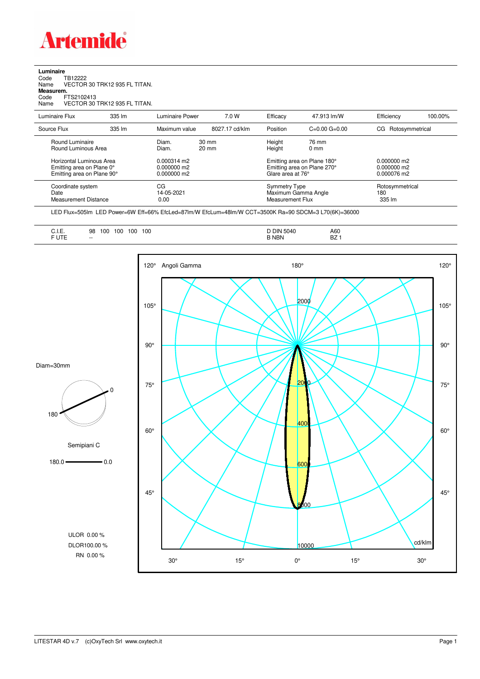

## **Luminaire**<br>Code T<br>Name \ Code TB12222 Name VECTOR 30 TRK12 935 FL TITAN. **Measurem.** Code FTS2102413 Name VECTOR 30 TRK12 935 FL TITAN.

| Name                                                                                | VECTOR 30 TRK12 935 FL TITAN. |                                                      |                                    |                                                                                 |                          |                                               |         |
|-------------------------------------------------------------------------------------|-------------------------------|------------------------------------------------------|------------------------------------|---------------------------------------------------------------------------------|--------------------------|-----------------------------------------------|---------|
| Luminaire Flux                                                                      | $335 \, \text{Im}$            | Luminaire Power                                      | 7.0 W                              | Efficacy                                                                        | 47.913 lm/W              | Efficiency                                    | 100.00% |
| Source Flux                                                                         | 335 lm                        | Maximum value                                        | 8027.17 cd/klm                     | Position                                                                        | $C=0.00$ $G=0.00$        | CG Rotosymmetrical                            |         |
| Round Luminaire<br>Round Luminous Area                                              |                               | Diam.<br>Diam.                                       | $30 \text{ mm}$<br>$20 \text{ mm}$ | Height<br>Height                                                                | 76 mm<br>0 <sub>mm</sub> |                                               |         |
| Horizontal Luminous Area<br>Emitting area on Plane 0°<br>Emitting area on Plane 90° |                               | $0.000314 \text{ m}$<br>$0.000000$ m2<br>0.000000 m2 |                                    | Emitting area on Plane 180°<br>Emitting area on Plane 270°<br>Glare area at 76° |                          | $0.000000$ m2<br>$0.000000$ m2<br>0.000076 m2 |         |
| Coordinate system<br>Date<br><b>Measurement Distance</b>                            |                               | CG<br>14-05-2021<br>0.00                             |                                    | <b>Symmetry Type</b><br>Measurement Flux                                        | Maximum Gamma Angle      | Rotosymmetrical<br>180<br>335 lm              |         |

LED Flux=505lm LED Power=6W Eff=66% EfcLed=87lm/W EfcLum=48lm/W CCT=3500K Ra=90 SDCM=3 L70(6K)=36000